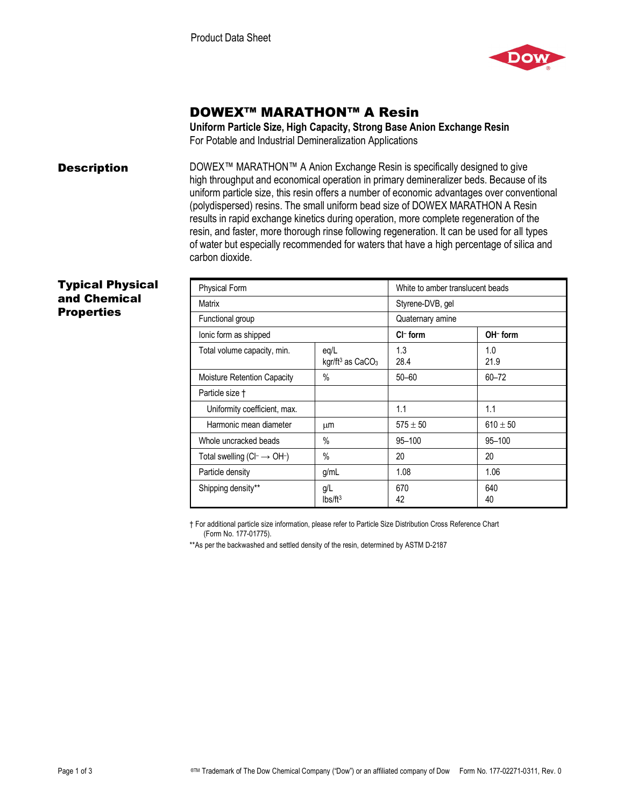

# DOWEX™ MARATHON™ A Resin

**Uniform Particle Size, High Capacity, Strong Base Anion Exchange Resin**  For Potable and Industrial Demineralization Applications

**Description** DOWEX<sup>™</sup> MARATHON<sup>™</sup> A Anion Exchange Resin is specifically designed to give high throughput and economical operation in primary demineralizer beds. Because of its uniform particle size, this resin offers a number of economic advantages over conventional (polydispersed) resins. The small uniform bead size of DOWEX MARATHON A Resin results in rapid exchange kinetics during operation, more complete regeneration of the resin, and faster, more thorough rinse following regeneration. It can be used for all types of water but especially recommended for waters that have a high percentage of silica and carbon dioxide.

### Typical Physical and Chemical **Properties**

| <b>Physical Form</b>                           |                                                  | White to amber translucent beads |              |
|------------------------------------------------|--------------------------------------------------|----------------------------------|--------------|
| Matrix                                         |                                                  | Styrene-DVB, gel                 |              |
| Functional group                               |                                                  | Quaternary amine                 |              |
| lonic form as shipped                          |                                                  | $Cl^-$ form                      | OH-form      |
| Total volume capacity, min.                    | eq/L<br>kgr/ft <sup>3</sup> as CaCO <sub>3</sub> | 1.3<br>28.4                      | 1.0<br>21.9  |
| Moisture Retention Capacity                    | $\%$                                             | $50 - 60$                        | $60 - 72$    |
| Particle size †                                |                                                  |                                  |              |
| Uniformity coefficient, max.                   |                                                  | 1.1                              | 1.1          |
| Harmonic mean diameter                         | μm                                               | $575 \pm 50$                     | $610 \pm 50$ |
| Whole uncracked beads                          | $\%$                                             | 95-100                           | $95 - 100$   |
| Total swelling $(C \rightarrow \overline{OH})$ | $\%$                                             | 20                               | 20           |
| Particle density                               | g/ml                                             | 1.08                             | 1.06         |
| Shipping density**                             | g/L<br>Ibs/ft <sup>3</sup>                       | 670<br>42                        | 640<br>40    |

† For additional particle size information, please refer to Particle Size Distribution Cross Reference Chart (Form No. 177-01775).

\*\*As per the backwashed and settled density of the resin, determined by ASTM D-2187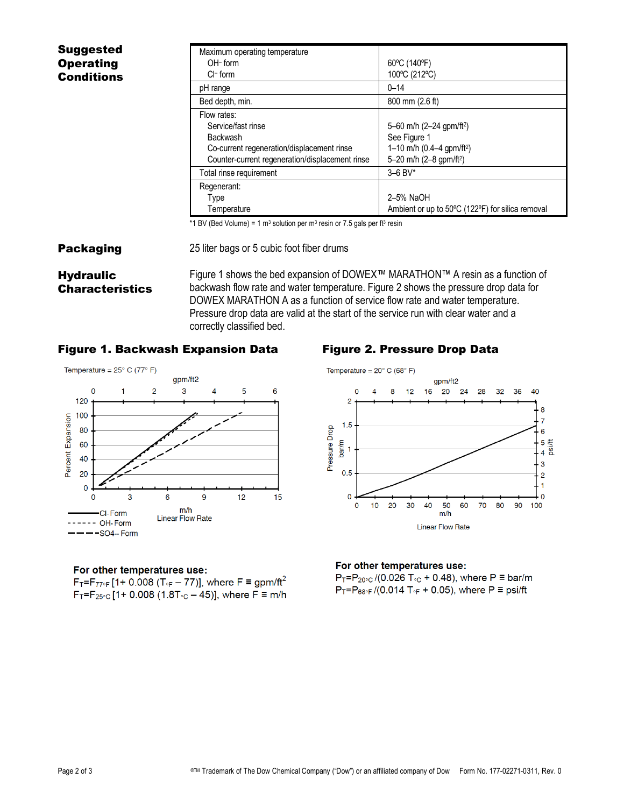| <b>Suggested</b>  | Maximum operating temperature                   |                                                  |
|-------------------|-------------------------------------------------|--------------------------------------------------|
| <b>Operating</b>  | $OH- form$                                      | 60°C (140°F)                                     |
| <b>Conditions</b> | $Cl^-$ form                                     | 100°C (212°C)                                    |
|                   | pH range                                        | $0 - 14$                                         |
|                   | Bed depth, min.                                 | 800 mm (2.6 ft)                                  |
|                   | Flow rates:                                     |                                                  |
|                   | Service/fast rinse                              | 5-60 m/h (2-24 gpm/ft <sup>2</sup> )             |
|                   | Backwash                                        | See Figure 1                                     |
|                   | Co-current regeneration/displacement rinse      | 1-10 m/h $(0.4-4$ gpm/ft <sup>2</sup> )          |
|                   | Counter-current regeneration/displacement rinse | 5-20 m/h (2-8 gpm/ft <sup>2</sup> )              |
|                   | Total rinse requirement                         | $3 - 6$ BV*                                      |
|                   | Regenerant:                                     |                                                  |
|                   | Type                                            | 2-5% NaOH                                        |
|                   | Temperature                                     | Ambient or up to 50°C (122°F) for silica removal |

\*1 BV (Bed Volume) = 1 m<sup>3</sup> solution per m<sup>3</sup> resin or 7.5 gals per f<sup>3</sup> resin

#### **Packaging** 25 liter bags or 5 cubic foot fiber drums

## **Hydraulic** Characteristics

Figure 1 shows the bed expansion of DOWEX™ MARATHON™ A resin as a function of backwash flow rate and water temperature. Figure 2 shows the pressure drop data for DOWEX MARATHON A as a function of service flow rate and water temperature. Pressure drop data are valid at the start of the service run with clear water and a correctly classified bed.

### Figure 1. Backwash Expansion Data Figure 2. Pressure Drop Data



#### For other temperatures use:

 $F_T = F_{77\degree}$  [1+ 0.008 (T<sub>°F</sub> – 77)], where F = gpm/ft<sup>2</sup>  $F_T = F_{25 \text{°C}} [1 + 0.008 (1.8 T_{\text{°C}} - 45)],$  where  $F \equiv m/h$ 



#### For other temperatures use:

 $P_T = P_{20 \text{°C}} / (0.026 T_{\text{°C}} + 0.48)$ , where P = bar/m  $P_T = P_{68\degree}$  /(0.014 T<sub>oF</sub> + 0.05), where P = psi/ft